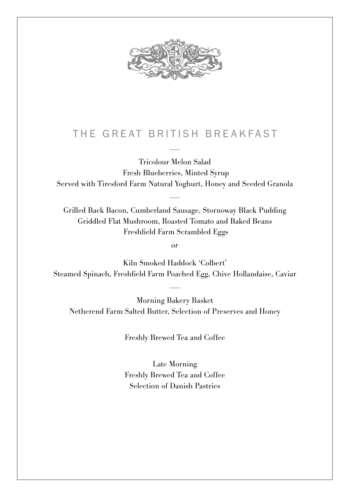

## THE GREAT BRITISH BREAKFAST –

Tricolour Melon Salad Fresh Blueberries, Minted Syrup Served with Tiresford Farm Natural Yoghurt, Honey and Seeded Granola –

Grilled Back Bacon, Cumberland Sausage, Stornoway Black Pudding Griddled Flat Mushroom, Roasted Tomato and Baked Beans Freshfield Farm Scrambled Eggs

or

Kiln Smoked Haddock 'Colbert' Steamed Spinach, Freshfield Farm Poached Egg, Chive Hollandaise, Caviar –

Morning Bakery Basket Netherend Farm Salted Butter, Selection of Preserves and Honey

Freshly Brewed Tea and Coffee

Late Morning Freshly Brewed Tea and Coffee Selection of Danish Pastries